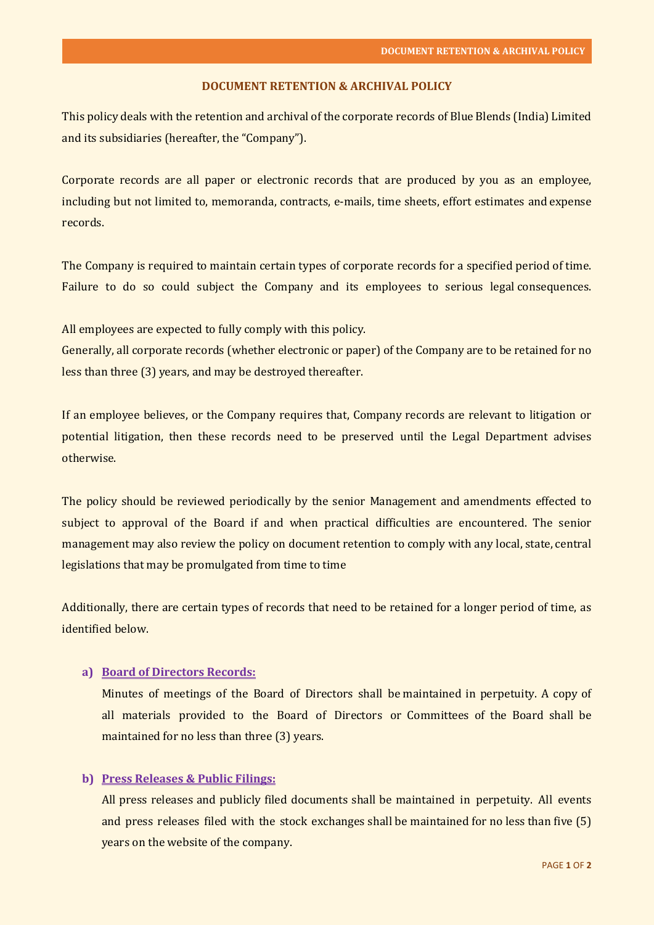#### **DOCUMENT RETENTION & ARCHIVAL POLICY**

This policy deals with the retention and archival of the corporate records of Blue Blends (India) Limited and its subsidiaries (hereafter, the "Company").

Corporate records are all paper or electronic records that are produced by you as an employee, including but not limited to, memoranda, contracts, e-mails, time sheets, effort estimates and expense records.

The Company is required to maintain certain types of corporate records for a specified period of time. Failure to do so could subject the Company and its employees to serious legal consequences.

All employees are expected to fully comply with this policy.

Generally, all corporate records (whether electronic or paper) of the Company are to be retained for no less than three (3) years, and may be destroyed thereafter.

If an employee believes, or the Company requires that, Company records are relevant to litigation or potential litigation, then these records need to be preserved until the Legal Department advises otherwise.

The policy should be reviewed periodically by the senior Management and amendments effected to subject to approval of the Board if and when practical difficulties are encountered. The senior management may also review the policy on document retention to comply with any local, state, central legislations that may be promulgated from time to time

Additionally, there are certain types of records that need to be retained for a longer period of time, as identified below.

## **a) Board of Directors Records:**

Minutes of meetings of the Board of Directors shall be maintained in perpetuity. A copy of all materials provided to the Board of Directors or Committees of the Board shall be maintained for no less than three (3) years.

# **b) Press Releases & Public Filings:**

All press releases and publicly filed documents shall be maintained in perpetuity. All events and press releases filed with the stock exchanges shall be maintained for no less than five (5) years on the website of the company.